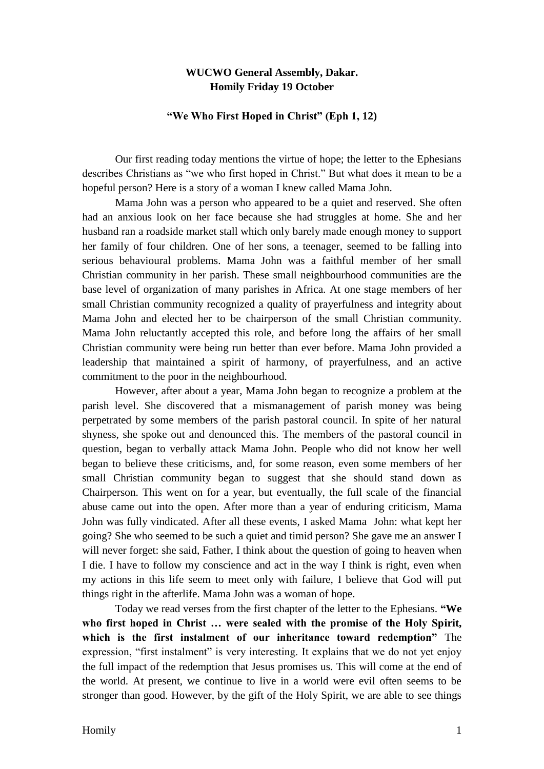## **WUCWO General Assembly, Dakar. Homily Friday 19 October**

## **"We Who First Hoped in Christ" (Eph 1, 12)**

Our first reading today mentions the virtue of hope; the letter to the Ephesians describes Christians as "we who first hoped in Christ." But what does it mean to be a hopeful person? Here is a story of a woman I knew called Mama John.

Mama John was a person who appeared to be a quiet and reserved. She often had an anxious look on her face because she had struggles at home. She and her husband ran a roadside market stall which only barely made enough money to support her family of four children. One of her sons, a teenager, seemed to be falling into serious behavioural problems. Mama John was a faithful member of her small Christian community in her parish. These small neighbourhood communities are the base level of organization of many parishes in Africa. At one stage members of her small Christian community recognized a quality of prayerfulness and integrity about Mama John and elected her to be chairperson of the small Christian community. Mama John reluctantly accepted this role, and before long the affairs of her small Christian community were being run better than ever before. Mama John provided a leadership that maintained a spirit of harmony, of prayerfulness, and an active commitment to the poor in the neighbourhood.

However, after about a year, Mama John began to recognize a problem at the parish level. She discovered that a mismanagement of parish money was being perpetrated by some members of the parish pastoral council. In spite of her natural shyness, she spoke out and denounced this. The members of the pastoral council in question, began to verbally attack Mama John. People who did not know her well began to believe these criticisms, and, for some reason, even some members of her small Christian community began to suggest that she should stand down as Chairperson. This went on for a year, but eventually, the full scale of the financial abuse came out into the open. After more than a year of enduring criticism, Mama John was fully vindicated. After all these events, I asked Mama John: what kept her going? She who seemed to be such a quiet and timid person? She gave me an answer I will never forget: she said, Father, I think about the question of going to heaven when I die. I have to follow my conscience and act in the way I think is right, even when my actions in this life seem to meet only with failure, I believe that God will put things right in the afterlife. Mama John was a woman of hope.

Today we read verses from the first chapter of the letter to the Ephesians. **"We who first hoped in Christ … were sealed with the promise of the Holy Spirit, which is the first instalment of our inheritance toward redemption"** The expression, "first instalment" is very interesting. It explains that we do not yet enjoy the full impact of the redemption that Jesus promises us. This will come at the end of the world. At present, we continue to live in a world were evil often seems to be stronger than good. However, by the gift of the Holy Spirit, we are able to see things